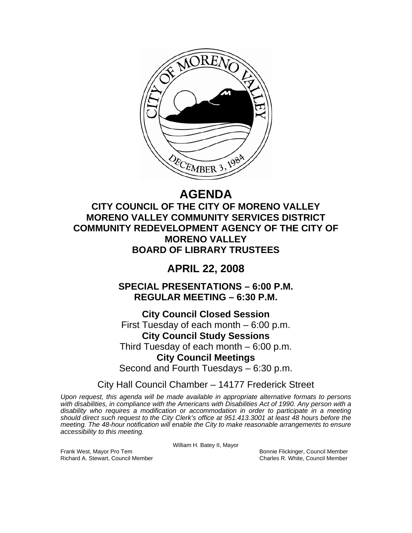

# **AGENDA**

**CITY COUNCIL OF THE CITY OF MORENO VALLEY MORENO VALLEY COMMUNITY SERVICES DISTRICT COMMUNITY REDEVELOPMENT AGENCY OF THE CITY OF MORENO VALLEY BOARD OF LIBRARY TRUSTEES** 

# **APRIL 22, 2008**

**SPECIAL PRESENTATIONS – 6:00 P.M. REGULAR MEETING – 6:30 P.M.** 

**City Council Closed Session**  First Tuesday of each month – 6:00 p.m. **City Council Study Sessions**  Third Tuesday of each month – 6:00 p.m. **City Council Meetings**  Second and Fourth Tuesdays – 6:30 p.m.

City Hall Council Chamber – 14177 Frederick Street

*Upon request, this agenda will be made available in appropriate alternative formats to persons with disabilities, in compliance with the Americans with Disabilities Act of 1990. Any person with a disability who requires a modification or accommodation in order to participate in a meeting should direct such request to the City Clerk's office at 951.413.3001 at least 48 hours before the meeting. The 48-hour notification will enable the City to make reasonable arrangements to ensure accessibility to this meeting.* 

William H. Batey II, Mayor

Frank West, Mayor Pro Tem Bonnie Flickinger, Council Member Richard A. Stewart, Council Member Charles R. White, Council Member Charles R. White, Council Member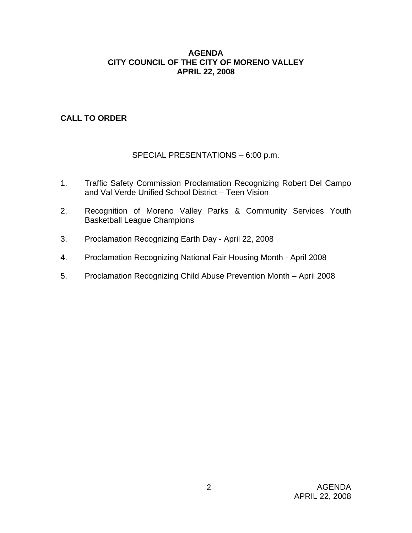### **AGENDA CITY COUNCIL OF THE CITY OF MORENO VALLEY APRIL 22, 2008**

# **CALL TO ORDER**

# SPECIAL PRESENTATIONS – 6:00 p.m.

- 1. Traffic Safety Commission Proclamation Recognizing Robert Del Campo and Val Verde Unified School District – Teen Vision
- 2. Recognition of Moreno Valley Parks & Community Services Youth Basketball League Champions
- 3. Proclamation Recognizing Earth Day April 22, 2008
- 4. Proclamation Recognizing National Fair Housing Month April 2008
- 5. Proclamation Recognizing Child Abuse Prevention Month April 2008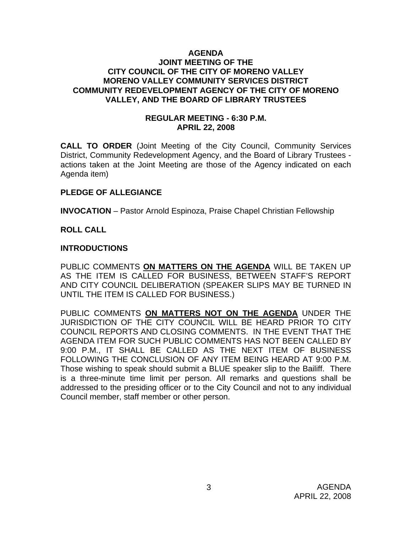#### **AGENDA JOINT MEETING OF THE CITY COUNCIL OF THE CITY OF MORENO VALLEY MORENO VALLEY COMMUNITY SERVICES DISTRICT COMMUNITY REDEVELOPMENT AGENCY OF THE CITY OF MORENO VALLEY, AND THE BOARD OF LIBRARY TRUSTEES**

#### **REGULAR MEETING - 6:30 P.M. APRIL 22, 2008**

**CALL TO ORDER** (Joint Meeting of the City Council, Community Services District, Community Redevelopment Agency, and the Board of Library Trustees actions taken at the Joint Meeting are those of the Agency indicated on each Agenda item)

# **PLEDGE OF ALLEGIANCE**

**INVOCATION** – Pastor Arnold Espinoza, Praise Chapel Christian Fellowship

# **ROLL CALL**

#### **INTRODUCTIONS**

PUBLIC COMMENTS **ON MATTERS ON THE AGENDA** WILL BE TAKEN UP AS THE ITEM IS CALLED FOR BUSINESS, BETWEEN STAFF'S REPORT AND CITY COUNCIL DELIBERATION (SPEAKER SLIPS MAY BE TURNED IN UNTIL THE ITEM IS CALLED FOR BUSINESS.)

PUBLIC COMMENTS **ON MATTERS NOT ON THE AGENDA** UNDER THE JURISDICTION OF THE CITY COUNCIL WILL BE HEARD PRIOR TO CITY COUNCIL REPORTS AND CLOSING COMMENTS. IN THE EVENT THAT THE AGENDA ITEM FOR SUCH PUBLIC COMMENTS HAS NOT BEEN CALLED BY 9:00 P.M., IT SHALL BE CALLED AS THE NEXT ITEM OF BUSINESS FOLLOWING THE CONCLUSION OF ANY ITEM BEING HEARD AT 9:00 P.M. Those wishing to speak should submit a BLUE speaker slip to the Bailiff. There is a three-minute time limit per person. All remarks and questions shall be addressed to the presiding officer or to the City Council and not to any individual Council member, staff member or other person.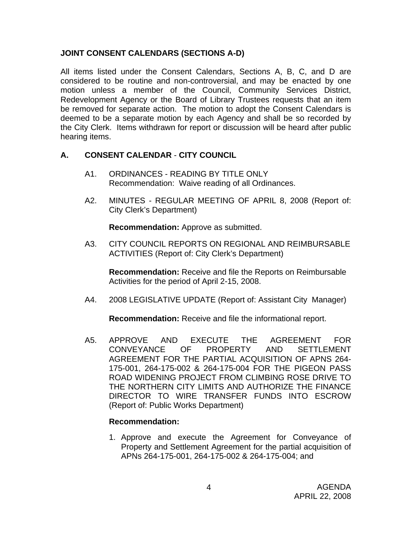# **JOINT CONSENT CALENDARS (SECTIONS A-D)**

All items listed under the Consent Calendars, Sections A, B, C, and D are considered to be routine and non-controversial, and may be enacted by one motion unless a member of the Council, Community Services District, Redevelopment Agency or the Board of Library Trustees requests that an item be removed for separate action. The motion to adopt the Consent Calendars is deemed to be a separate motion by each Agency and shall be so recorded by the City Clerk. Items withdrawn for report or discussion will be heard after public hearing items.

# **A. CONSENT CALENDAR** - **CITY COUNCIL**

- A1. ORDINANCES READING BY TITLE ONLY Recommendation: Waive reading of all Ordinances.
- A2. MINUTES REGULAR MEETING OF APRIL 8, 2008 (Report of: City Clerk's Department)

**Recommendation:** Approve as submitted.

A3. CITY COUNCIL REPORTS ON REGIONAL AND REIMBURSABLE ACTIVITIES (Report of: City Clerk's Department)

**Recommendation:** Receive and file the Reports on Reimbursable Activities for the period of April 2-15, 2008.

A4. 2008 LEGISLATIVE UPDATE (Report of: Assistant City Manager)

**Recommendation:** Receive and file the informational report.

A5. APPROVE AND EXECUTE THE AGREEMENT FOR CONVEYANCE OF PROPERTY AND SETTLEMENT AGREEMENT FOR THE PARTIAL ACQUISITION OF APNS 264- 175-001, 264-175-002 & 264-175-004 FOR THE PIGEON PASS ROAD WIDENING PROJECT FROM CLIMBING ROSE DRIVE TO THE NORTHERN CITY LIMITS AND AUTHORIZE THE FINANCE DIRECTOR TO WIRE TRANSFER FUNDS INTO ESCROW (Report of: Public Works Department)

#### **Recommendation:**

1. Approve and execute the Agreement for Conveyance of Property and Settlement Agreement for the partial acquisition of APNs 264-175-001, 264-175-002 & 264-175-004; and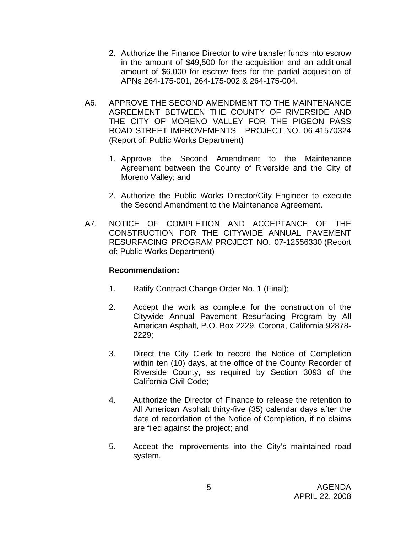- 2. Authorize the Finance Director to wire transfer funds into escrow in the amount of \$49,500 for the acquisition and an additional amount of \$6,000 for escrow fees for the partial acquisition of APNs 264-175-001, 264-175-002 & 264-175-004.
- A6. APPROVE THE SECOND AMENDMENT TO THE MAINTENANCE AGREEMENT BETWEEN THE COUNTY OF RIVERSIDE AND THE CITY OF MORENO VALLEY FOR THE PIGEON PASS ROAD STREET IMPROVEMENTS - PROJECT NO. 06-41570324 (Report of: Public Works Department)
	- 1. Approve the Second Amendment to the Maintenance Agreement between the County of Riverside and the City of Moreno Valley; and
	- 2. Authorize the Public Works Director/City Engineer to execute the Second Amendment to the Maintenance Agreement.
- A7. NOTICE OF COMPLETION AND ACCEPTANCE OF THE CONSTRUCTION FOR THE CITYWIDE ANNUAL PAVEMENT RESURFACING PROGRAM PROJECT NO. 07-12556330 (Report of: Public Works Department)

- 1. Ratify Contract Change Order No. 1 (Final);
- 2. Accept the work as complete for the construction of the Citywide Annual Pavement Resurfacing Program by All American Asphalt, P.O. Box 2229, Corona, California 92878- 2229;
- 3. Direct the City Clerk to record the Notice of Completion within ten (10) days, at the office of the County Recorder of Riverside County, as required by Section 3093 of the California Civil Code;
- 4. Authorize the Director of Finance to release the retention to All American Asphalt thirty-five (35) calendar days after the date of recordation of the Notice of Completion, if no claims are filed against the project; and
- 5. Accept the improvements into the City's maintained road system.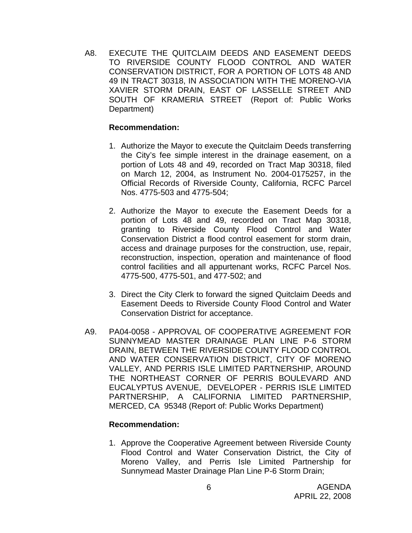A8. EXECUTE THE QUITCLAIM DEEDS AND EASEMENT DEEDS TO RIVERSIDE COUNTY FLOOD CONTROL AND WATER CONSERVATION DISTRICT, FOR A PORTION OF LOTS 48 AND 49 IN TRACT 30318, IN ASSOCIATION WITH THE MORENO-VIA XAVIER STORM DRAIN, EAST OF LASSELLE STREET AND SOUTH OF KRAMERIA STREET (Report of: Public Works Department)

#### **Recommendation:**

- 1. Authorize the Mayor to execute the Quitclaim Deeds transferring the City's fee simple interest in the drainage easement, on a portion of Lots 48 and 49, recorded on Tract Map 30318, filed on March 12, 2004, as Instrument No. 2004-0175257, in the Official Records of Riverside County, California, RCFC Parcel Nos. 4775-503 and 4775-504;
- 2. Authorize the Mayor to execute the Easement Deeds for a portion of Lots 48 and 49, recorded on Tract Map 30318, granting to Riverside County Flood Control and Water Conservation District a flood control easement for storm drain, access and drainage purposes for the construction, use, repair, reconstruction, inspection, operation and maintenance of flood control facilities and all appurtenant works, RCFC Parcel Nos. 4775-500, 4775-501, and 477-502; and
- 3. Direct the City Clerk to forward the signed Quitclaim Deeds and Easement Deeds to Riverside County Flood Control and Water Conservation District for acceptance.
- A9. PA04-0058 APPROVAL OF COOPERATIVE AGREEMENT FOR SUNNYMEAD MASTER DRAINAGE PLAN LINE P-6 STORM DRAIN, BETWEEN THE RIVERSIDE COUNTY FLOOD CONTROL AND WATER CONSERVATION DISTRICT, CITY OF MORENO VALLEY, AND PERRIS ISLE LIMITED PARTNERSHIP, AROUND THE NORTHEAST CORNER OF PERRIS BOULEVARD AND EUCALYPTUS AVENUE, DEVELOPER - PERRIS ISLE LIMITED PARTNERSHIP, A CALIFORNIA LIMITED PARTNERSHIP, MERCED, CA 95348 (Report of: Public Works Department)

#### **Recommendation:**

1. Approve the Cooperative Agreement between Riverside County Flood Control and Water Conservation District, the City of Moreno Valley, and Perris Isle Limited Partnership for Sunnymead Master Drainage Plan Line P-6 Storm Drain;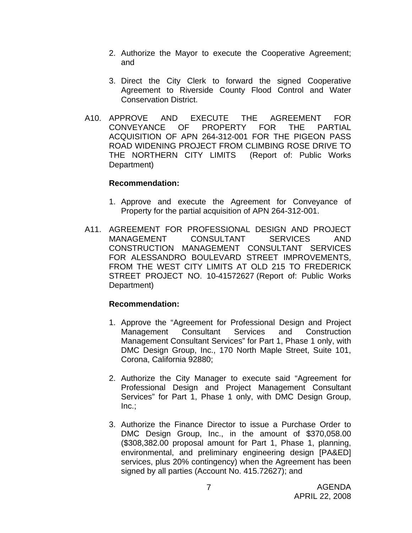- 2. Authorize the Mayor to execute the Cooperative Agreement; and
- 3. Direct the City Clerk to forward the signed Cooperative Agreement to Riverside County Flood Control and Water Conservation District.
- A10. APPROVE AND EXECUTE THE AGREEMENT FOR CONVEYANCE OF PROPERTY FOR THE PARTIAL ACQUISITION OF APN 264-312-001 FOR THE PIGEON PASS ROAD WIDENING PROJECT FROM CLIMBING ROSE DRIVE TO THE NORTHERN CITY LIMITS (Report of: Public Works Department)

#### **Recommendation:**

- 1. Approve and execute the Agreement for Conveyance of Property for the partial acquisition of APN 264-312-001.
- A11. AGREEMENT FOR PROFESSIONAL DESIGN AND PROJECT MANAGEMENT CONSULTANT SERVICES AND CONSTRUCTION MANAGEMENT CONSULTANT SERVICES FOR ALESSANDRO BOULEVARD STREET IMPROVEMENTS, FROM THE WEST CITY LIMITS AT OLD 215 TO FREDERICK STREET PROJECT NO. 10-41572627 (Report of: Public Works Department)

- 1. Approve the "Agreement for Professional Design and Project Management Consultant Services and Construction Management Consultant Services" for Part 1, Phase 1 only, with DMC Design Group, Inc., 170 North Maple Street, Suite 101, Corona, California 92880;
- 2. Authorize the City Manager to execute said "Agreement for Professional Design and Project Management Consultant Services" for Part 1, Phase 1 only, with DMC Design Group,  $Inc.$ ;
- 3. Authorize the Finance Director to issue a Purchase Order to DMC Design Group, Inc., in the amount of \$370,058.00 (\$308,382.00 proposal amount for Part 1, Phase 1, planning, environmental, and preliminary engineering design [PA&ED] services, plus 20% contingency) when the Agreement has been signed by all parties (Account No. 415.72627); and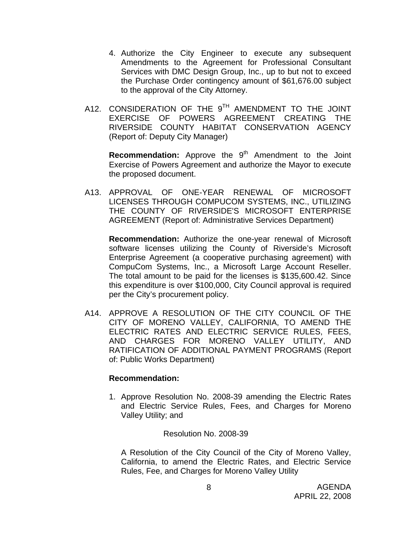- 4. Authorize the City Engineer to execute any subsequent Amendments to the Agreement for Professional Consultant Services with DMC Design Group, Inc., up to but not to exceed the Purchase Order contingency amount of \$61,676.00 subject to the approval of the City Attorney.
- A12. CONSIDERATION OF THE 9<sup>TH</sup> AMENDMENT TO THE JOINT EXERCISE OF POWERS AGREEMENT CREATING THE RIVERSIDE COUNTY HABITAT CONSERVATION AGENCY (Report of: Deputy City Manager)

**Recommendation:** Approve the 9<sup>th</sup> Amendment to the Joint Exercise of Powers Agreement and authorize the Mayor to execute the proposed document.

A13. APPROVAL OF ONE-YEAR RENEWAL OF MICROSOFT LICENSES THROUGH COMPUCOM SYSTEMS, INC., UTILIZING THE COUNTY OF RIVERSIDE'S MICROSOFT ENTERPRISE AGREEMENT (Report of: Administrative Services Department)

**Recommendation:** Authorize the one-year renewal of Microsoft software licenses utilizing the County of Riverside's Microsoft Enterprise Agreement (a cooperative purchasing agreement) with CompuCom Systems, Inc., a Microsoft Large Account Reseller. The total amount to be paid for the licenses is \$135,600.42. Since this expenditure is over \$100,000, City Council approval is required per the City's procurement policy.

A14. APPROVE A RESOLUTION OF THE CITY COUNCIL OF THE CITY OF MORENO VALLEY, CALIFORNIA, TO AMEND THE ELECTRIC RATES AND ELECTRIC SERVICE RULES, FEES, AND CHARGES FOR MORENO VALLEY UTILITY, AND RATIFICATION OF ADDITIONAL PAYMENT PROGRAMS (Report of: Public Works Department)

#### **Recommendation:**

1. Approve Resolution No. 2008-39 amending the Electric Rates and Electric Service Rules, Fees, and Charges for Moreno Valley Utility; and

Resolution No. 2008-39

A Resolution of the City Council of the City of Moreno Valley, California, to amend the Electric Rates, and Electric Service Rules, Fee, and Charges for Moreno Valley Utility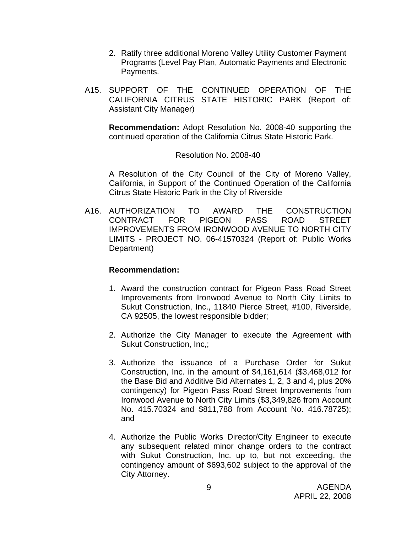- 2. Ratify three additional Moreno Valley Utility Customer Payment Programs (Level Pay Plan, Automatic Payments and Electronic Payments.
- A15. SUPPORT OF THE CONTINUED OPERATION OF THE CALIFORNIA CITRUS STATE HISTORIC PARK (Report of: Assistant City Manager)

**Recommendation:** Adopt Resolution No. 2008-40 supporting the continued operation of the California Citrus State Historic Park.

#### Resolution No. 2008-40

A Resolution of the City Council of the City of Moreno Valley, California, in Support of the Continued Operation of the California Citrus State Historic Park in the City of Riverside

A16. AUTHORIZATION TO AWARD THE CONSTRUCTION CONTRACT FOR PIGEON PASS ROAD STREET IMPROVEMENTS FROM IRONWOOD AVENUE TO NORTH CITY LIMITS - PROJECT NO. 06-41570324 (Report of: Public Works Department)

- 1. Award the construction contract for Pigeon Pass Road Street Improvements from Ironwood Avenue to North City Limits to Sukut Construction, Inc., 11840 Pierce Street, #100, Riverside, CA 92505, the lowest responsible bidder;
- 2. Authorize the City Manager to execute the Agreement with Sukut Construction, Inc,;
- 3. Authorize the issuance of a Purchase Order for Sukut Construction, Inc. in the amount of \$4,161,614 (\$3,468,012 for the Base Bid and Additive Bid Alternates 1, 2, 3 and 4, plus 20% contingency) for Pigeon Pass Road Street Improvements from Ironwood Avenue to North City Limits (\$3,349,826 from Account No. 415.70324 and \$811,788 from Account No. 416.78725); and
- 4. Authorize the Public Works Director/City Engineer to execute any subsequent related minor change orders to the contract with Sukut Construction, Inc. up to, but not exceeding, the contingency amount of \$693,602 subject to the approval of the City Attorney.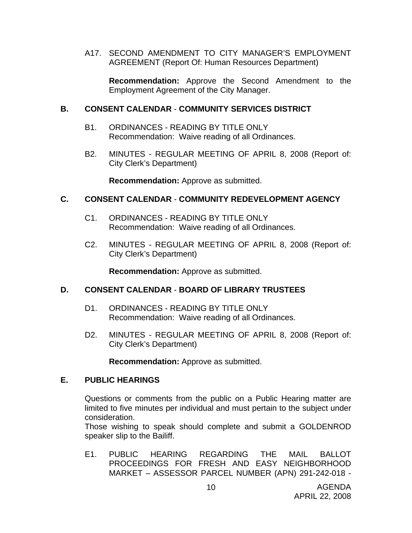A17. SECOND AMENDMENT TO CITY MANAGER'S EMPLOYMENT AGREEMENT (Report Of: Human Resources Department)

**Recommendation:** Approve the Second Amendment to the Employment Agreement of the City Manager.

#### **B. CONSENT CALENDAR** - **COMMUNITY SERVICES DISTRICT**

- B1. ORDINANCES READING BY TITLE ONLY Recommendation: Waive reading of all Ordinances.
- B2. MINUTES REGULAR MEETING OF APRIL 8, 2008 (Report of: City Clerk's Department)

**Recommendation:** Approve as submitted.

#### **C. CONSENT CALENDAR** - **COMMUNITY REDEVELOPMENT AGENCY**

- C1. ORDINANCES READING BY TITLE ONLY Recommendation: Waive reading of all Ordinances.
- C2. MINUTES REGULAR MEETING OF APRIL 8, 2008 (Report of: City Clerk's Department)

**Recommendation:** Approve as submitted.

#### **D. CONSENT CALENDAR** - **BOARD OF LIBRARY TRUSTEES**

- D1. ORDINANCES READING BY TITLE ONLY Recommendation: Waive reading of all Ordinances.
- D2. MINUTES REGULAR MEETING OF APRIL 8, 2008 (Report of: City Clerk's Department)

**Recommendation:** Approve as submitted.

#### **E. PUBLIC HEARINGS**

Questions or comments from the public on a Public Hearing matter are limited to five minutes per individual and must pertain to the subject under consideration.

 Those wishing to speak should complete and submit a GOLDENROD speaker slip to the Bailiff.

E1. PUBLIC HEARING REGARDING THE MAIL BALLOT PROCEEDINGS FOR FRESH AND EASY NEIGHBORHOOD MARKET – ASSESSOR PARCEL NUMBER (APN) 291-242-018 -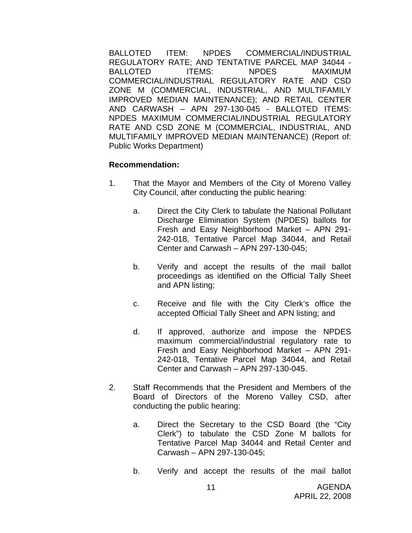BALLOTED ITEM: NPDES COMMERCIAL/INDUSTRIAL REGULATORY RATE; AND TENTATIVE PARCEL MAP 34044 - BALLOTED ITEMS: NPDES MAXIMUM COMMERCIAL/INDUSTRIAL REGULATORY RATE AND CSD ZONE M (COMMERCIAL, INDUSTRIAL, AND MULTIFAMILY IMPROVED MEDIAN MAINTENANCE); AND RETAIL CENTER AND CARWASH – APN 297-130-045 - BALLOTED ITEMS: NPDES MAXIMUM COMMERCIAL/INDUSTRIAL REGULATORY RATE AND CSD ZONE M (COMMERCIAL, INDUSTRIAL, AND MULTIFAMILY IMPROVED MEDIAN MAINTENANCE) (Report of: Public Works Department)

- 1. That the Mayor and Members of the City of Moreno Valley City Council, after conducting the public hearing:
	- a. Direct the City Clerk to tabulate the National Pollutant Discharge Elimination System (NPDES) ballots for Fresh and Easy Neighborhood Market – APN 291- 242-018, Tentative Parcel Map 34044, and Retail Center and Carwash – APN 297-130-045;
	- b. Verify and accept the results of the mail ballot proceedings as identified on the Official Tally Sheet and APN listing;
	- c. Receive and file with the City Clerk's office the accepted Official Tally Sheet and APN listing; and
	- d. If approved, authorize and impose the NPDES maximum commercial/industrial regulatory rate to Fresh and Easy Neighborhood Market – APN 291- 242-018, Tentative Parcel Map 34044, and Retail Center and Carwash – APN 297-130-045.
- 2. Staff Recommends that the President and Members of the Board of Directors of the Moreno Valley CSD, after conducting the public hearing:
	- a. Direct the Secretary to the CSD Board (the "City Clerk") to tabulate the CSD Zone M ballots for Tentative Parcel Map 34044 and Retail Center and Carwash – APN 297-130-045;
	- b. Verify and accept the results of the mail ballot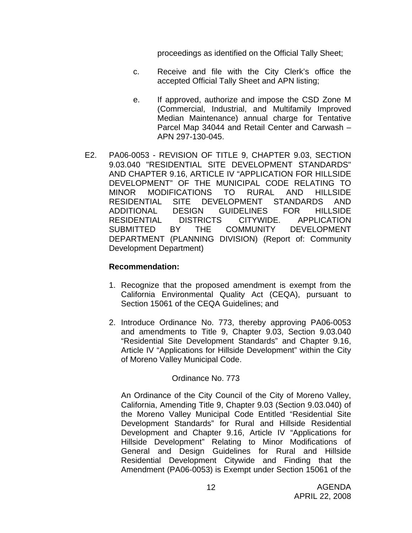proceedings as identified on the Official Tally Sheet;

- c. Receive and file with the City Clerk's office the accepted Official Tally Sheet and APN listing;
- e. If approved, authorize and impose the CSD Zone M (Commercial, Industrial, and Multifamily Improved Median Maintenance) annual charge for Tentative Parcel Map 34044 and Retail Center and Carwash – APN 297-130-045.
- E2. PA06-0053 REVISION OF TITLE 9, CHAPTER 9.03, SECTION 9.03.040 "RESIDENTIAL SITE DEVELOPMENT STANDARDS" AND CHAPTER 9.16, ARTICLE IV "APPLICATION FOR HILLSIDE DEVELOPMENT" OF THE MUNICIPAL CODE RELATING TO MINOR MODIFICATIONS TO RURAL AND HILLSIDE RESIDENTIAL SITE DEVELOPMENT STANDARDS AND ADDITIONAL DESIGN GUIDELINES FOR HILLSIDE RESIDENTIAL DISTRICTS CITYWIDE. APPLICATION SUBMITTED BY THE COMMUNITY DEVELOPMENT DEPARTMENT (PLANNING DIVISION) (Report of: Community Development Department)

#### **Recommendation:**

- 1. Recognize that the proposed amendment is exempt from the California Environmental Quality Act (CEQA), pursuant to Section 15061 of the CEQA Guidelines; and
- 2. Introduce Ordinance No. 773, thereby approving PA06-0053 and amendments to Title 9, Chapter 9.03, Section 9.03.040 "Residential Site Development Standards" and Chapter 9.16, Article IV "Applications for Hillside Development" within the City of Moreno Valley Municipal Code.

#### Ordinance No. 773

An Ordinance of the City Council of the City of Moreno Valley, California, Amending Title 9, Chapter 9.03 (Section 9.03.040) of the Moreno Valley Municipal Code Entitled "Residential Site Development Standards" for Rural and Hillside Residential Development and Chapter 9.16, Article IV "Applications for Hillside Development" Relating to Minor Modifications of General and Design Guidelines for Rural and Hillside Residential Development Citywide and Finding that the Amendment (PA06-0053) is Exempt under Section 15061 of the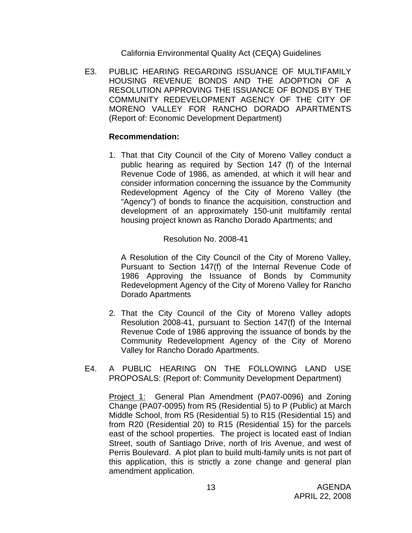California Environmental Quality Act (CEQA) Guidelines

E3. PUBLIC HEARING REGARDING ISSUANCE OF MULTIFAMILY HOUSING REVENUE BONDS AND THE ADOPTION OF A RESOLUTION APPROVING THE ISSUANCE OF BONDS BY THE COMMUNITY REDEVELOPMENT AGENCY OF THE CITY OF MORENO VALLEY FOR RANCHO DORADO APARTMENTS (Report of: Economic Development Department)

#### **Recommendation:**

1. That that City Council of the City of Moreno Valley conduct a public hearing as required by Section 147 (f) of the Internal Revenue Code of 1986, as amended, at which it will hear and consider information concerning the issuance by the Community Redevelopment Agency of the City of Moreno Valley (the "Agency") of bonds to finance the acquisition, construction and development of an approximately 150-unit multifamily rental housing project known as Rancho Dorado Apartments; and

#### Resolution No. 2008-41

A Resolution of the City Council of the City of Moreno Valley, Pursuant to Section 147(f) of the Internal Revenue Code of 1986 Approving the Issuance of Bonds by Community Redevelopment Agency of the City of Moreno Valley for Rancho Dorado Apartments

- 2. That the City Council of the City of Moreno Valley adopts Resolution 2008-41, pursuant to Section 147(f) of the Internal Revenue Code of 1986 approving the issuance of bonds by the Community Redevelopment Agency of the City of Moreno Valley for Rancho Dorado Apartments.
- E4. A PUBLIC HEARING ON THE FOLLOWING LAND USE PROPOSALS: (Report of: Community Development Department)

 Project 1: General Plan Amendment (PA07-0096) and Zoning Change (PA07-0095) from R5 (Residential 5) to P (Public) at March Middle School, from R5 (Residential 5) to R15 (Residential 15) and from R20 (Residential 20) to R15 (Residential 15) for the parcels east of the school properties. The project is located east of Indian Street, south of Santiago Drive, north of Iris Avenue, and west of Perris Boulevard. A plot plan to build multi-family units is not part of this application, this is strictly a zone change and general plan amendment application.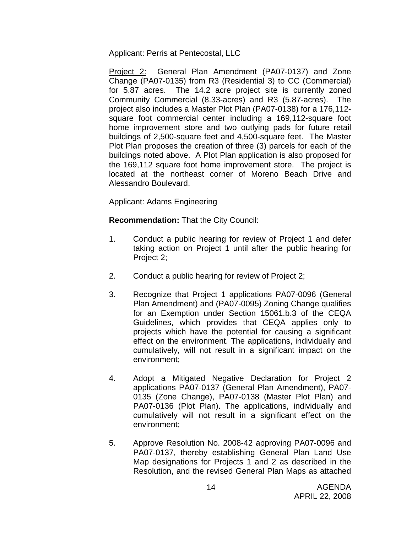Applicant: Perris at Pentecostal, LLC

 Project 2: General Plan Amendment (PA07-0137) and Zone Change (PA07-0135) from R3 (Residential 3) to CC (Commercial) for 5.87 acres. The 14.2 acre project site is currently zoned Community Commercial (8.33-acres) and R3 (5.87-acres). The project also includes a Master Plot Plan (PA07-0138) for a 176,112 square foot commercial center including a 169,112-square foot home improvement store and two outlying pads for future retail buildings of 2,500-square feet and 4,500-square feet. The Master Plot Plan proposes the creation of three (3) parcels for each of the buildings noted above. A Plot Plan application is also proposed for the 169,112 square foot home improvement store. The project is located at the northeast corner of Moreno Beach Drive and Alessandro Boulevard.

Applicant: Adams Engineering

**Recommendation:** That the City Council:

- 1. Conduct a public hearing for review of Project 1 and defer taking action on Project 1 until after the public hearing for Project 2;
- 2. Conduct a public hearing for review of Project 2;
- 3. Recognize that Project 1 applications PA07-0096 (General Plan Amendment) and (PA07-0095) Zoning Change qualifies for an Exemption under Section 15061.b.3 of the CEQA Guidelines, which provides that CEQA applies only to projects which have the potential for causing a significant effect on the environment. The applications, individually and cumulatively, will not result in a significant impact on the environment;
- 4. Adopt a Mitigated Negative Declaration for Project 2 applications PA07-0137 (General Plan Amendment), PA07- 0135 (Zone Change), PA07-0138 (Master Plot Plan) and PA07-0136 (Plot Plan). The applications, individually and cumulatively will not result in a significant effect on the environment;
- 5. Approve Resolution No. 2008-42 approving PA07-0096 and PA07-0137, thereby establishing General Plan Land Use Map designations for Projects 1 and 2 as described in the Resolution, and the revised General Plan Maps as attached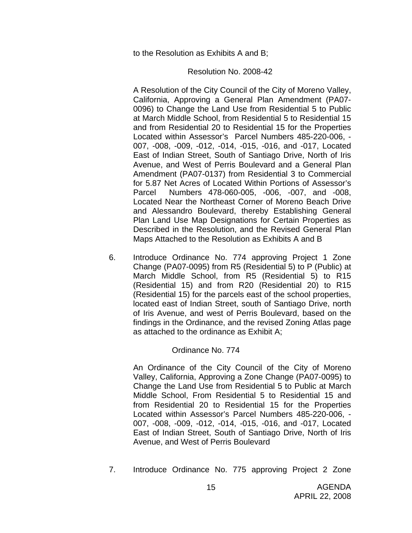to the Resolution as Exhibits A and B;

#### Resolution No. 2008-42

A Resolution of the City Council of the City of Moreno Valley, California, Approving a General Plan Amendment (PA07- 0096) to Change the Land Use from Residential 5 to Public at March Middle School, from Residential 5 to Residential 15 and from Residential 20 to Residential 15 for the Properties Located within Assessor's Parcel Numbers 485-220-006, - 007, -008, -009, -012, -014, -015, -016, and -017, Located East of Indian Street, South of Santiago Drive, North of Iris Avenue, and West of Perris Boulevard and a General Plan Amendment (PA07-0137) from Residential 3 to Commercial for 5.87 Net Acres of Located Within Portions of Assessor's Parcel Numbers 478-060-005, -006, -007, and -008, Located Near the Northeast Corner of Moreno Beach Drive and Alessandro Boulevard, thereby Establishing General Plan Land Use Map Designations for Certain Properties as Described in the Resolution, and the Revised General Plan Maps Attached to the Resolution as Exhibits A and B

6. Introduce Ordinance No. 774 approving Project 1 Zone Change (PA07-0095) from R5 (Residential 5) to P (Public) at March Middle School, from R5 (Residential 5) to R15 (Residential 15) and from R20 (Residential 20) to R15 (Residential 15) for the parcels east of the school properties, located east of Indian Street, south of Santiago Drive, north of Iris Avenue, and west of Perris Boulevard, based on the findings in the Ordinance, and the revised Zoning Atlas page as attached to the ordinance as Exhibit A;

#### Ordinance No. 774

An Ordinance of the City Council of the City of Moreno Valley, California, Approving a Zone Change (PA07-0095) to Change the Land Use from Residential 5 to Public at March Middle School, From Residential 5 to Residential 15 and from Residential 20 to Residential 15 for the Properties Located within Assessor's Parcel Numbers 485-220-006, - 007, -008, -009, -012, -014, -015, -016, and -017, Located East of Indian Street, South of Santiago Drive, North of Iris Avenue, and West of Perris Boulevard

7. Introduce Ordinance No. 775 approving Project 2 Zone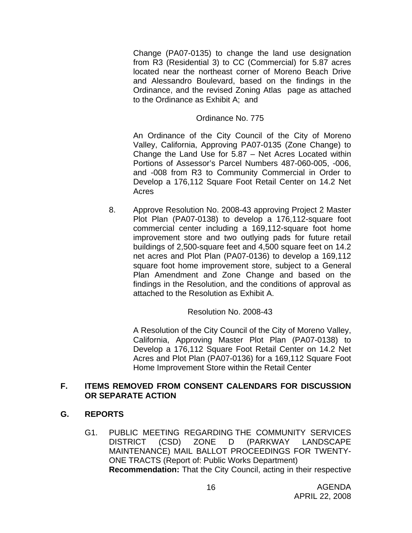Change (PA07-0135) to change the land use designation from R3 (Residential 3) to CC (Commercial) for 5.87 acres located near the northeast corner of Moreno Beach Drive and Alessandro Boulevard, based on the findings in the Ordinance, and the revised Zoning Atlas page as attached to the Ordinance as Exhibit A; and

### Ordinance No. 775

An Ordinance of the City Council of the City of Moreno Valley, California, Approving PA07-0135 (Zone Change) to Change the Land Use for 5.87 – Net Acres Located within Portions of Assessor's Parcel Numbers 487-060-005, -006, and -008 from R3 to Community Commercial in Order to Develop a 176,112 Square Foot Retail Center on 14.2 Net Acres

8. Approve Resolution No. 2008-43 approving Project 2 Master Plot Plan (PA07-0138) to develop a 176,112-square foot commercial center including a 169,112-square foot home improvement store and two outlying pads for future retail buildings of 2,500-square feet and 4,500 square feet on 14.2 net acres and Plot Plan (PA07-0136) to develop a 169,112 square foot home improvement store, subject to a General Plan Amendment and Zone Change and based on the findings in the Resolution, and the conditions of approval as attached to the Resolution as Exhibit A.

Resolution No. 2008-43

A Resolution of the City Council of the City of Moreno Valley, California, Approving Master Plot Plan (PA07-0138) to Develop a 176,112 Square Foot Retail Center on 14.2 Net Acres and Plot Plan (PA07-0136) for a 169,112 Square Foot Home Improvement Store within the Retail Center

# **F. ITEMS REMOVED FROM CONSENT CALENDARS FOR DISCUSSION OR SEPARATE ACTION**

# **G. REPORTS**

G1. PUBLIC MEETING REGARDING THE COMMUNITY SERVICES DISTRICT (CSD) ZONE D (PARKWAY LANDSCAPE MAINTENANCE) MAIL BALLOT PROCEEDINGS FOR TWENTY-ONE TRACTS (Report of: Public Works Department) **Recommendation:** That the City Council, acting in their respective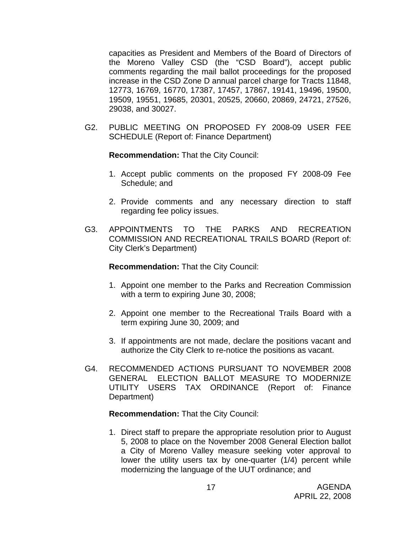capacities as President and Members of the Board of Directors of the Moreno Valley CSD (the "CSD Board"), accept public comments regarding the mail ballot proceedings for the proposed increase in the CSD Zone D annual parcel charge for Tracts 11848, 12773, 16769, 16770, 17387, 17457, 17867, 19141, 19496, 19500, 19509, 19551, 19685, 20301, 20525, 20660, 20869, 24721, 27526, 29038, and 30027.

G2. PUBLIC MEETING ON PROPOSED FY 2008-09 USER FEE SCHEDULE (Report of: Finance Department)

**Recommendation:** That the City Council:

- 1. Accept public comments on the proposed FY 2008-09 Fee Schedule; and
- 2. Provide comments and any necessary direction to staff regarding fee policy issues.
- G3. APPOINTMENTS TO THE PARKS AND RECREATION COMMISSION AND RECREATIONAL TRAILS BOARD (Report of: City Clerk's Department)

**Recommendation:** That the City Council:

- 1. Appoint one member to the Parks and Recreation Commission with a term to expiring June 30, 2008;
- 2. Appoint one member to the Recreational Trails Board with a term expiring June 30, 2009; and
- 3. If appointments are not made, declare the positions vacant and authorize the City Clerk to re-notice the positions as vacant.
- G4. RECOMMENDED ACTIONS PURSUANT TO NOVEMBER 2008 GENERAL ELECTION BALLOT MEASURE TO MODERNIZE UTILITY USERS TAX ORDINANCE (Report of: Finance Department)

**Recommendation:** That the City Council:

1. Direct staff to prepare the appropriate resolution prior to August 5, 2008 to place on the November 2008 General Election ballot a City of Moreno Valley measure seeking voter approval to lower the utility users tax by one-quarter (1/4) percent while modernizing the language of the UUT ordinance; and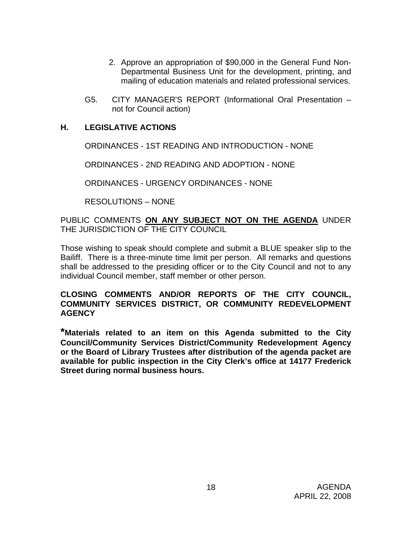- 2. Approve an appropriation of \$90,000 in the General Fund Non-Departmental Business Unit for the development, printing, and mailing of education materials and related professional services.
- G5. CITY MANAGER'S REPORT (Informational Oral Presentation not for Council action)

# **H. LEGISLATIVE ACTIONS**

ORDINANCES - 1ST READING AND INTRODUCTION - NONE

ORDINANCES - 2ND READING AND ADOPTION - NONE

ORDINANCES - URGENCY ORDINANCES - NONE

RESOLUTIONS – NONE

PUBLIC COMMENTS **ON ANY SUBJECT NOT ON THE AGENDA** UNDER THE JURISDICTION OF THE CITY COUNCIL

Those wishing to speak should complete and submit a BLUE speaker slip to the Bailiff. There is a three-minute time limit per person. All remarks and questions shall be addressed to the presiding officer or to the City Council and not to any individual Council member, staff member or other person.

# **CLOSING COMMENTS AND/OR REPORTS OF THE CITY COUNCIL, COMMUNITY SERVICES DISTRICT, OR COMMUNITY REDEVELOPMENT AGENCY**

**\*Materials related to an item on this Agenda submitted to the City Council/Community Services District/Community Redevelopment Agency or the Board of Library Trustees after distribution of the agenda packet are available for public inspection in the City Clerk's office at 14177 Frederick Street during normal business hours.**